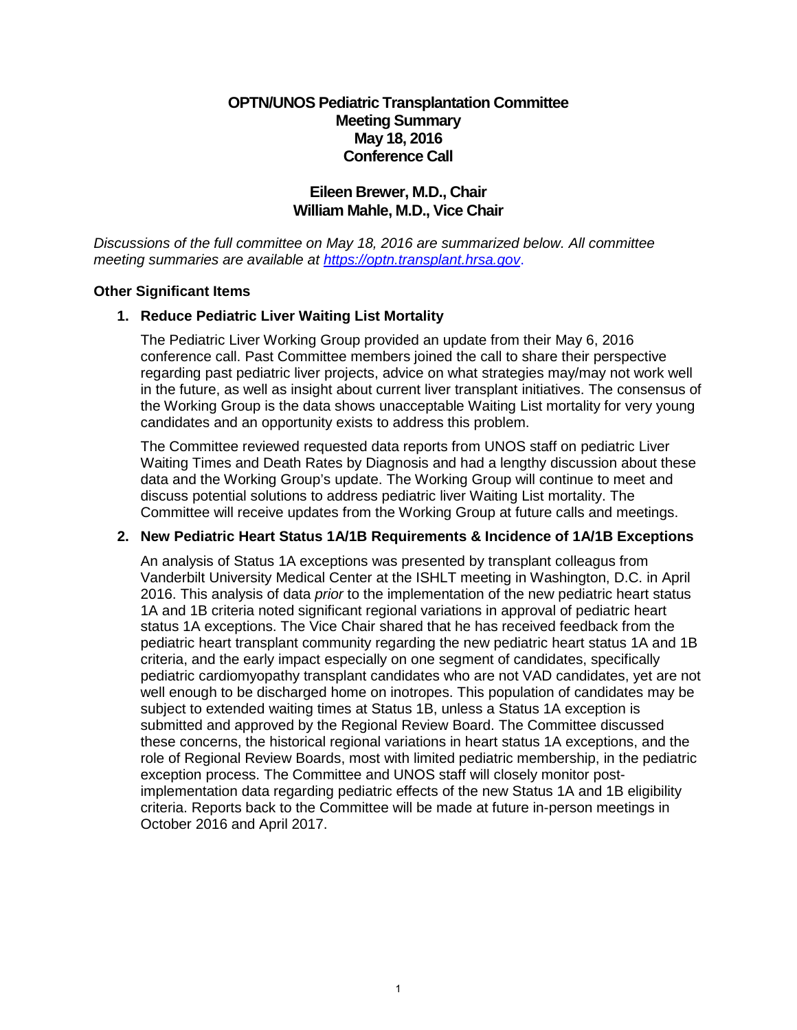## **OPTN/UNOS Pediatric Transplantation Committee Meeting Summary May 18, 2016 Conference Call**

# **Eileen Brewer, M.D., Chair William Mahle, M.D., Vice Chair**

*Discussions of the full committee on May 18, 2016 are summarized below. All committee meeting summaries are available at [https://optn.transplant.hrsa.gov](https://optn.transplant.hrsa.gov/)*.

### **Other Significant Items**

## **1. Reduce Pediatric Liver Waiting List Mortality**

The Pediatric Liver Working Group provided an update from their May 6, 2016 conference call. Past Committee members joined the call to share their perspective regarding past pediatric liver projects, advice on what strategies may/may not work well in the future, as well as insight about current liver transplant initiatives. The consensus of the Working Group is the data shows unacceptable Waiting List mortality for very young candidates and an opportunity exists to address this problem.

The Committee reviewed requested data reports from UNOS staff on pediatric Liver Waiting Times and Death Rates by Diagnosis and had a lengthy discussion about these data and the Working Group's update. The Working Group will continue to meet and discuss potential solutions to address pediatric liver Waiting List mortality. The Committee will receive updates from the Working Group at future calls and meetings.

### **2. New Pediatric Heart Status 1A/1B Requirements & Incidence of 1A/1B Exceptions**

An analysis of Status 1A exceptions was presented by transplant colleagus from Vanderbilt University Medical Center at the ISHLT meeting in Washington, D.C. in April 2016. This analysis of data *prior* to the implementation of the new pediatric heart status 1A and 1B criteria noted significant regional variations in approval of pediatric heart status 1A exceptions. The Vice Chair shared that he has received feedback from the pediatric heart transplant community regarding the new pediatric heart status 1A and 1B criteria, and the early impact especially on one segment of candidates, specifically pediatric cardiomyopathy transplant candidates who are not VAD candidates, yet are not well enough to be discharged home on inotropes. This population of candidates may be subject to extended waiting times at Status 1B, unless a Status 1A exception is submitted and approved by the Regional Review Board. The Committee discussed these concerns, the historical regional variations in heart status 1A exceptions, and the role of Regional Review Boards, most with limited pediatric membership, in the pediatric exception process. The Committee and UNOS staff will closely monitor postimplementation data regarding pediatric effects of the new Status 1A and 1B eligibility criteria. Reports back to the Committee will be made at future in-person meetings in October 2016 and April 2017.